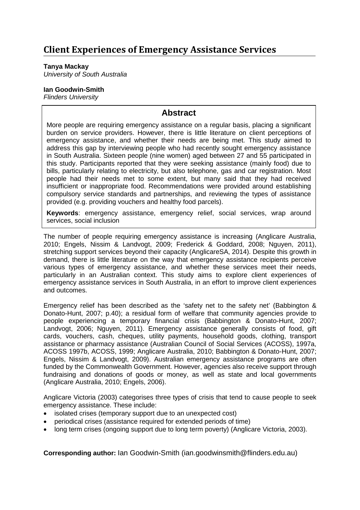**Tanya Mackay** *University of South Australia*

### **Ian Goodwin-Smith**

*Flinders University*

## **Abstract**

More people are requiring emergency assistance on a regular basis, placing a significant burden on service providers. However, there is little literature on client perceptions of emergency assistance, and whether their needs are being met. This study aimed to address this gap by interviewing people who had recently sought emergency assistance in South Australia. Sixteen people (nine women) aged between 27 and 55 participated in this study. Participants reported that they were seeking assistance (mainly food) due to bills, particularly relating to electricity, but also telephone, gas and car registration. Most people had their needs met to some extent, but many said that they had received insufficient or inappropriate food. Recommendations were provided around establishing compulsory service standards and partnerships, and reviewing the types of assistance provided (e.g. providing vouchers and healthy food parcels).

**Keywords**: emergency assistance, emergency relief, social services, wrap around services, social inclusion

The number of people requiring emergency assistance is increasing (Anglicare Australia, 2010; Engels, Nissim & Landvogt, 2009; Frederick & Goddard, 2008; Nguyen, 2011), stretching support services beyond their capacity (AnglicareSA, 2014). Despite this growth in demand, there is little literature on the way that emergency assistance recipients perceive various types of emergency assistance, and whether these services meet their needs, particularly in an Australian context. This study aims to explore client experiences of emergency assistance services in South Australia, in an effort to improve client experiences and outcomes.

Emergency relief has been described as the 'safety net to the safety net' (Babbington & Donato-Hunt, 2007; p.40); a residual form of welfare that community agencies provide to people experiencing a temporary financial crisis (Babbington & Donato-Hunt, 2007; Landvogt, 2006; Nguyen, 2011). Emergency assistance generally consists of food, gift cards, vouchers, cash, cheques, utility payments, household goods, clothing, transport assistance or pharmacy assistance (Australian Council of Social Services (ACOSS), 1997a, ACOSS 1997b, ACOSS, 1999; Anglicare Australia, 2010; Babbington & Donato-Hunt, 2007; Engels, Nissim & Landvogt, 2009). Australian emergency assistance programs are often funded by the Commonwealth Government. However, agencies also receive support through fundraising and donations of goods or money, as well as state and local governments (Anglicare Australia, 2010; Engels, 2006).

Anglicare Victoria (2003) categorises three types of crisis that tend to cause people to seek emergency assistance. These include:

- isolated crises (temporary support due to an unexpected cost)
- periodical crises (assistance required for extended periods of time)
- long term crises (ongoing support due to long term poverty) (Anglicare Victoria, 2003).

**Corresponding author:** Ian Goodwin-Smith [\(ian.goodwinsmith@flinders.edu.au\)](mailto:ian.goodwinsmith@flinders.edu.au)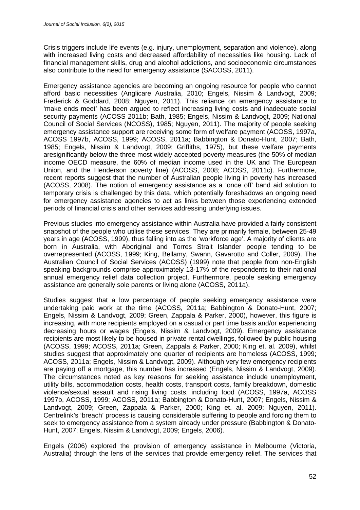Crisis triggers include life events (e.g. injury, unemployment, separation and violence), along with increased living costs and decreased affordability of necessities like housing. Lack of financial management skills, drug and alcohol addictions, and socioeconomic circumstances also contribute to the need for emergency assistance (SACOSS, 2011).

Emergency assistance agencies are becoming an ongoing resource for people who cannot afford basic necessities (Anglicare Australia, 2010; Engels, Nissim & Landvogt, 2009; Frederick & Goddard, 2008; Nguyen, 2011). This reliance on emergency assistance to 'make ends meet' has been argued to reflect increasing living costs and inadequate social security payments (ACOSS 2011b; Bath, 1985; Engels, Nissim & Landvogt, 2009; National Council of Social Services (NCOSS), 1985; Nguyen, 2011). The majority of people seeking emergency assistance support are receiving some form of welfare payment (ACOSS, 1997a, ACOSS 1997b, ACOSS, 1999; ACOSS, 2011a; Babbington & Donato-Hunt, 2007; Bath, 1985; Engels, Nissim & Landvogt, 2009; Griffiths, 1975), but these welfare payments aresignificantly below the three most widely accepted poverty measures (the 50% of median income OECD measure, the 60% of median income used in the UK and The European Union, and the Henderson poverty line) (ACOSS, 2008; ACOSS, 2011c). Furthermore, recent reports suggest that the number of Australian people living in poverty has increased (ACOSS, 2008). The notion of emergency assistance as a 'once off' band aid solution to temporary crisis is challenged by this data, which potentially foreshadows an ongoing need for emergency assistance agencies to act as links between those experiencing extended periods of financial crisis and other services addressing underlying issues.

Previous studies into emergency assistance within Australia have provided a fairly consistent snapshot of the people who utilise these services. They are primarily female, between 25-49 years in age (ACOSS, 1999), thus falling into as the 'workforce age'. A majority of clients are born in Australia, with Aboriginal and Torres Strait Islander people tending to be overrepresented (ACOSS, 1999; King, Bellamy, Swann, Gavarotto and Coller, 2009). The Australian Council of Social Services (ACOSS) (1999) note that people from non-English speaking backgrounds comprise approximately 13-17% of the respondents to their national annual emergency relief data collection project. Furthermore, people seeking emergency assistance are generally sole parents or living alone (ACOSS, 2011a).

Studies suggest that a low percentage of people seeking emergency assistance were undertaking paid work at the time (ACOSS, 2011a; Babbington & Donato-Hunt, 2007; Engels, Nissim & Landvogt, 2009; Green, Zappala & Parker, 2000), however, this figure is increasing, with more recipients employed on a casual or part time basis and/or experiencing decreasing hours or wages (Engels, Nissim & Landvogt, 2009). Emergency assistance recipients are most likely to be housed in private rental dwellings, followed by public housing (ACOSS, 1999; ACOSS, 2011a; Green, Zappala & Parker, 2000; King et. al. 2009), whilst studies suggest that approximately one quarter of recipients are homeless (ACOSS, 1999; ACOSS, 2011a; Engels, Nissim & Landvogt, 2009). Although very few emergency recipients are paying off a mortgage, this number has increased (Engels, Nissim & Landvogt, 2009). The circumstances noted as key reasons for seeking assistance include unemployment, utility bills, accommodation costs, health costs, transport costs, family breakdown, domestic violence/sexual assault and rising living costs, including food (ACOSS, 1997a, ACOSS 1997b, ACOSS, 1999; ACOSS, 2011a; Babbington & Donato-Hunt, 2007; Engels, Nissim & Landvogt, 2009; Green, Zappala & Parker, 2000; King et. al. 2009; Nguyen, 2011). Centrelink's 'breach' process is causing considerable suffering to people and forcing them to seek to emergency assistance from a system already under pressure (Babbington & Donato-Hunt, 2007; Engels, Nissim & Landvogt, 2009; Engels, 2006).

Engels (2006) explored the provision of emergency assistance in Melbourne (Victoria, Australia) through the lens of the services that provide emergency relief. The services that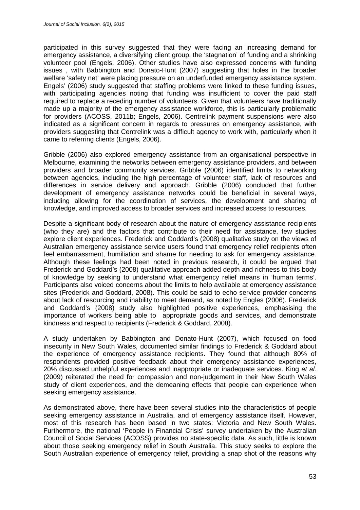participated in this survey suggested that they were facing an increasing demand for emergency assistance, a diversifying client group, the 'stagnation' of funding and a shrinking volunteer pool (Engels, 2006). Other studies have also expressed concerns with funding issues , with Babbington and Donato-Hunt (2007) suggesting that holes in the broader welfare 'safety net' were placing pressure on an underfunded emergency assistance system. Engels' (2006) study suggested that staffing problems were linked to these funding issues, with participating agencies noting that funding was insufficient to cover the paid staff required to replace a receding number of volunteers. Given that volunteers have traditionally made up a majority of the emergency assistance workforce, this is particularly problematic for providers (ACOSS, 2011b; Engels, 2006). Centrelink payment suspensions were also indicated as a significant concern in regards to pressures on emergency assistance, with providers suggesting that Centrelink was a difficult agency to work with, particularly when it came to referring clients (Engels, 2006).

Gribble (2006) also explored emergency assistance from an organisational perspective in Melbourne, examining the networks between emergency assistance providers, and between providers and broader community services. Gribble (2006) identified limits to networking between agencies, including the high percentage of volunteer staff, lack of resources and differences in service delivery and approach. Gribble (2006) concluded that further development of emergency assistance networks could be beneficial in several ways, including allowing for the coordination of services, the development and sharing of knowledge, and improved access to broader services and increased access to resources.

Despite a significant body of research about the nature of emergency assistance recipients (who they are) and the factors that contribute to their need for assistance, few studies explore client experiences. Frederick and Goddard's (2008) qualitative study on the views of Australian emergency assistance service users found that emergency relief recipients often feel embarrassment, humiliation and shame for needing to ask for emergency assistance. Although these feelings had been noted in previous research, it could be argued that Frederick and Goddard's (2008) qualitative approach added depth and richness to this body of knowledge by seeking to understand what emergency relief means in 'human terms'. Participants also voiced concerns about the limits to help available at emergency assistance sites (Frederick and Goddard, 2008). This could be said to echo service provider concerns about lack of resourcing and inability to meet demand, as noted by Engles (2006). Frederick and Goddard's (2008) study also highlighted positive experiences, emphasising the importance of workers being able to appropriate goods and services, and demonstrate kindness and respect to recipients (Frederick & Goddard, 2008).

A study undertaken by Babbington and Donato-Hunt (2007), which focused on food insecurity in New South Wales, documented similar findings to Frederick & Goddard about the experience of emergency assistance recipients. They found that although 80% of respondents provided positive feedback about their emergency assistance experiences, 20% discussed unhelpful experiences and inappropriate or inadequate services. King *et al.* (2009) reiterated the need for compassion and non-judgement in their New South Wales study of client experiences, and the demeaning effects that people can experience when seeking emergency assistance.

As demonstrated above, there have been several studies into the characteristics of people seeking emergency assistance in Australia, and of emergency assistance itself. However, most of this research has been based in two states: Victoria and New South Wales. Furthermore, the national 'People in Financial Crisis' survey undertaken by the Australian Council of Social Services (ACOSS) provides no state-specific data. As such, little is known about those seeking emergency relief in South Australia. This study seeks to explore the South Australian experience of emergency relief, providing a snap shot of the reasons why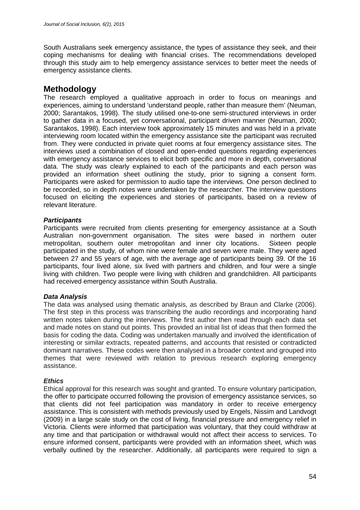South Australians seek emergency assistance, the types of assistance they seek, and their coping mechanisms for dealing with financial crises. The recommendations developed through this study aim to help emergency assistance services to better meet the needs of emergency assistance clients.

## **Methodology**

The research employed a qualitative approach in order to focus on meanings and experiences, aiming to understand 'understand people, rather than measure them' (Neuman, 2000; Sarantakos, 1998). The study utilised one-to-one semi-structured interviews in order to gather data in a focused, yet conversational, participant driven manner (Neuman, 2000; Sarantakos, 1998). Each interview took approximately 15 minutes and was held in a private interviewing room located within the emergency assistance site the participant was recruited from. They were conducted in private quiet rooms at four emergency assistance sites. The interviews used a combination of closed and open-ended questions regarding experiences with emergency assistance services to elicit both specific and more in depth, conversational data. The study was clearly explained to each of the participants and each person was provided an information sheet outlining the study, prior to signing a consent form. Participants were asked for permission to audio tape the interviews. One person declined to be recorded, so in depth notes were undertaken by the researcher. The interview questions focused on eliciting the experiences and stories of participants, based on a review of relevant literature.

### *Participants*

Participants were recruited from clients presenting for emergency assistance at a South Australian non-government organisation. The sites were based in northern outer metropolitan, southern outer metropolitan and inner city locations. Sixteen people participated in the study, of whom nine were female and seven were male. They were aged between 27 and 55 years of age, with the average age of participants being 39. Of the 16 participants, four lived alone, six lived with partners and children, and four were a single living with children. Two people were living with children and grandchildren. All participants had received emergency assistance within South Australia.

### *Data Analysis*

The data was analysed using thematic analysis, as described by Braun and Clarke (2006). The first step in this process was transcribing the audio recordings and incorporating hand written notes taken during the interviews. The first author then read through each data set and made notes on stand out points. This provided an initial list of ideas that then formed the basis for coding the data. Coding was undertaken manually and involved the identification of interesting or similar extracts, repeated patterns, and accounts that resisted or contradicted dominant narratives. These codes were then analysed in a broader context and grouped into themes that were reviewed with relation to previous research exploring emergency assistance.

### *Ethics*

Ethical approval for this research was sought and granted. To ensure voluntary participation, the offer to participate occurred following the provision of emergency assistance services, so that clients did not feel participation was mandatory in order to receive emergency assistance. This is consistent with methods previously used by Engels, Nissim and Landvogt (2009) in a large scale study on the cost of living, financial pressure and emergency relief in Victoria. Clients were informed that participation was voluntary, that they could withdraw at any time and that participation or withdrawal would not affect their access to services. To ensure informed consent, participants were provided with an information sheet, which was verbally outlined by the researcher. Additionally, all participants were required to sign a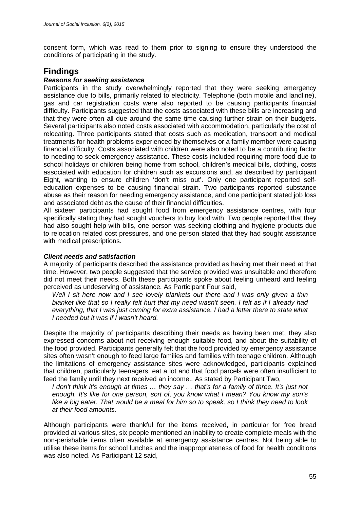consent form, which was read to them prior to signing to ensure they understood the conditions of participating in the study.

## **Findings**

#### *Reasons for seeking assistance*

Participants in the study overwhelmingly reported that they were seeking emergency assistance due to bills, primarily related to electricity. Telephone (both mobile and landline), gas and car registration costs were also reported to be causing participants financial difficulty. Participants suggested that the costs associated with these bills are increasing and that they were often all due around the same time causing further strain on their budgets. Several participants also noted costs associated with accommodation, particularly the cost of relocating. Three participants stated that costs such as medication, transport and medical treatments for health problems experienced by themselves or a family member were causing financial difficulty. Costs associated with children were also noted to be a contributing factor to needing to seek emergency assistance. These costs included requiring more food due to school holidays or children being home from school, children's medical bills, clothing, costs associated with education for children such as excursions and, as described by participant Eight, wanting to ensure children 'don't miss out'. Only one participant reported selfeducation expenses to be causing financial strain. Two participants reported substance abuse as their reason for needing emergency assistance, and one participant stated job loss and associated debt as the cause of their financial difficulties.

All sixteen participants had sought food from emergency assistance centres, with four specifically stating they had sought vouchers to buy food with. Two people reported that they had also sought help with bills, one person was seeking clothing and hygiene products due to relocation related cost pressures, and one person stated that they had sought assistance with medical prescriptions.

#### *Client needs and satisfaction*

A majority of participants described the assistance provided as having met their need at that time. However, two people suggested that the service provided was unsuitable and therefore did not meet their needs. Both these participants spoke about feeling unheard and feeling perceived as undeserving of assistance. As Participant Four said,

*Well I sit here now and I see lovely blankets out there and I was only given a thin blanket like that so I really felt hurt that my need wasn't seen. I felt as if I already had everything, that I was just coming for extra assistance. I had a letter there to state what I needed but it was if I wasn't heard.*

Despite the majority of participants describing their needs as having been met, they also expressed concerns about not receiving enough suitable food, and about the suitability of the food provided. Participants generally felt that the food provided by emergency assistance sites often wasn't enough to feed large families and families with teenage children. Although the limitations of emergency assistance sites were acknowledged, participants explained that children, particularly teenagers, eat a lot and that food parcels were often insufficient to feed the family until they next received an income.. As stated by Participant Two,

*I don't think it's enough at times … they say … that's for a family of three. It's just not enough. It's like for one person, sort of, you know what I mean? You know my son's like a big eater. That would be a meal for him so to speak, so I think they need to look at their food amounts.*

Although participants were thankful for the items received, in particular for free bread provided at various sites, six people mentioned an inability to create complete meals with the non-perishable items often available at emergency assistance centres. Not being able to utilise these items for school lunches and the inappropriateness of food for health conditions was also noted. As Participant 12 said,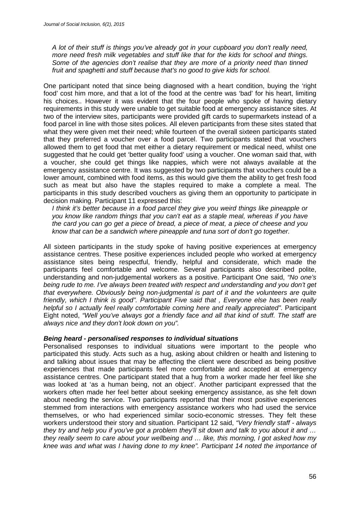*A lot of their stuff is things you've already got in your cupboard you don't really need, more need fresh milk vegetables and stuff like that for the kids for school and things. Some of the agencies don't realise that they are more of a priority need than tinned fruit and spaghetti and stuff because that's no good to give kids for school.*

One participant noted that since being diagnosed with a heart condition, buying the 'right food' cost him more, and that a lot of the food at the centre was 'bad' for his heart, limiting his choices.. However it was evident that the four people who spoke of having dietary requirements in this study were unable to get suitable food at emergency assistance sites. At two of the interview sites, participants were provided gift cards to supermarkets instead of a food parcel in line with those sites polices. All eleven participants from these sites stated that what they were given met their need; while fourteen of the overall sixteen participants stated that they preferred a voucher over a food parcel. Two participants stated that vouchers allowed them to get food that met either a dietary requirement or medical need, whilst one suggested that he could get 'better quality food' using a voucher. One woman said that, with a voucher, she could get things like nappies, which were not always available at the emergency assistance centre. It was suggested by two participants that vouchers could be a lower amount, combined with food items, as this would give them the ability to get fresh food such as meat but also have the staples required to make a complete a meal. The participants in this study described vouchers as giving them an opportunity to participate in decision making. Participant 11 expressed this:

*I think it's better because in a food parcel they give you weird things like pineapple or you know like random things that you can't eat as a staple meal, whereas if you have the card you can go get a piece of bread, a piece of meat, a piece of cheese and you know that can be a sandwich where pineapple and tuna sort of don't go together.*

All sixteen participants in the study spoke of having positive experiences at emergency assistance centres. These positive experiences included people who worked at emergency assistance sites being respectful, friendly, helpful and considerate, which made the participants feel comfortable and welcome. Several participants also described polite, understanding and non-judgemental workers as a positive. Participant One said, *"No one's being rude to me. I've always been treated with respect and understanding and you don't get that everywhere. Obviously being non-judgmental is part of it and the volunteers are quite friendly, which I think is good". Participant Five said that , Everyone else has been really helpful so I actually feel really comfortable coming here and really appreciated"*. Participant Eight noted, *"Well you've always got a friendly face and all that kind of stuff. The staff are always nice and they don't look down on you".*

#### *Being heard - personalised responses to individual situations*

Personalised responses to individual situations were important to the people who participated this study. Acts such as a hug, asking about children or health and listening to and talking about issues that may be affecting the client were described as being positive experiences that made participants feel more comfortable and accepted at emergency assistance centres. One participant stated that a hug from a worker made her feel like she was looked at 'as a human being, not an object'. Another participant expressed that the workers often made her feel better about seeking emergency assistance, as she felt down about needing the service. Two participants reported that their most positive experiences stemmed from interactions with emergency assistance workers who had used the service themselves, or who had experienced similar socio-economic stresses. They felt these workers understood their story and situation. Participant 12 said, *"Very friendly staff - always they try and help you if you've got a problem they'll sit down and talk to you about it and … they really seem to care about your wellbeing and … like, this morning, I got asked how my knee was and what was I having done to my knee". Participant 14 noted the importance of*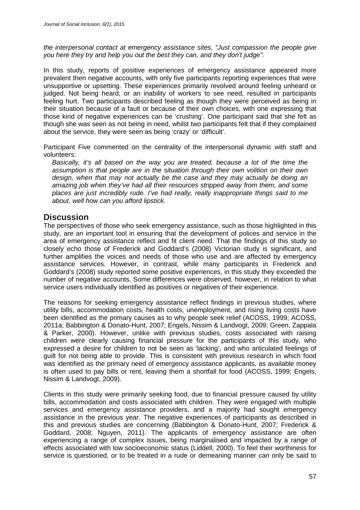*the interpersonal contact at emergency assistance sites, "Just compassion the people give you here they try and help you out the best they can, and they don't judge".*

In this study, reports of positive experiences of emergency assistance appeared more prevalent then negative accounts, with only five participants reporting experiences that were unsupportive or upsetting. These experiences primarily revolved around feeling unheard or judged. Not being heard, or an inability of workers to see need, resulted in participants feeling hurt. Two participants described feeling as though they were perceived as being in their situation because of a fault or because of their own choices, with one expressing that those kind of negative experiences can be 'crushing'. One participant said that she felt as though she was seen as not being in need, whilst two participants felt that if they complained about the service, they were seen as being 'crazy' or 'difficult'.

Participant Five commented on the centrality of the interpersonal dynamic with staff and volunteers:

*Basically, it's all based on the way you are treated, because a lot of the time the assumption is that people are in the situation through their own volition on their own design, when that may not actually be the case and they may actually be doing an amazing job when they've had all their resources stripped away from them, and some places are just incredibly rude. I've had really, really inappropriate things said to me about, well how can you afford lipstick.*

### **Discussion**

The perspectives of those who seek emergency assistance, such as those highlighted in this study, are an important tool in ensuring that the development of polices and service in the area of emergency assistance reflect and fit client need. That the findings of this study so closely echo those of Frederick and Goddard's (2008) Victorian study is significant, and further amplifies the voices and needs of those who use and are affected by emergency assistance services. However, in contrast, while many participants in Frederick and Goddard's (2008) study reported some positive experiences, in this study they exceeded the number of negative accounts. Some differences were observed, however, in relation to what service users individually identified as positives or negatives of their experience.

The reasons for seeking emergency assistance reflect findings in previous studies, where utility bills, accommodation costs, health costs, unemployment, and rising living costs have been identified as the primary causes as to why people seek relief (ACOSS, 1999; ACOSS, 2011a; Babbington & Donato-Hunt, 2007; Engels, Nissim & Landvogt, 2009; Green, Zappala & Parker, 2000). However, unlike with previous studies, costs associated with raising children were clearly causing financial pressure for the participants of this study, who expressed a desire for children to not be seen as 'lacking', and who articulated feelings of guilt for not being able to provide. This is consistent with previous research in which food was identified as the primary need of emergency assistance applicants, as available money is often used to pay bills or rent, leaving them a shortfall for food (ACOSS, 1999; Engels, Nissim & Landvogt, 2009).

Clients in this study were primarily seeking food, due to financial pressure caused by utility bills, accommodation and costs associated with children. They were engaged with multiple services and emergency assistance providers, and a majority had sought emergency assistance in the previous year. The negative experiences of participants as described in this and previous studies are concerning (Babbington & Donato-Hunt, 2007; Frederick & Goddard, 2008; Nguyen, 2011). The applicants of emergency assistance are often experiencing a range of complex issues, being marginalised and impacted by a range of effects associated with low socioeconomic status (Liddell, 2000). To feel their worthiness for service is questioned, or to be treated in a rude or demeaning manner can only be said to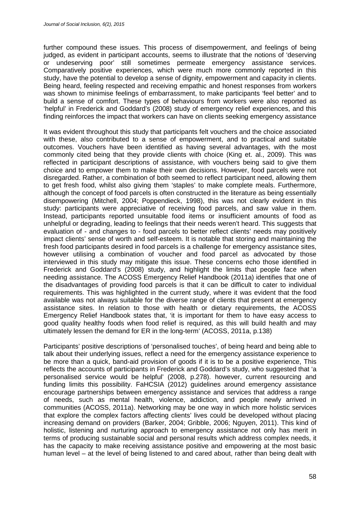further compound these issues. This process of disempowerment, and feelings of being judged, as evident in participant accounts, seems to illustrate that the notions of 'deserving or undeserving poor' still sometimes permeate emergency assistance services. Comparatively positive experiences, which were much more commonly reported in this study, have the potential to develop a sense of dignity, empowerment and capacity in clients. Being heard, feeling respected and receiving empathic and honest responses from workers was shown to minimise feelings of embarrassment, to make participants 'feel better' and to build a sense of comfort. These types of behaviours from workers were also reported as 'helpful' in Frederick and Goddard's (2008) study of emergency relief experiences, and this finding reinforces the impact that workers can have on clients seeking emergency assistance

It was evident throughout this study that participants felt vouchers and the choice associated with these, also contributed to a sense of empowerment, and to practical and suitable outcomes. Vouchers have been identified as having several advantages, with the most commonly cited being that they provide clients with choice (King et. al., 2009). This was reflected in participant descriptions of assistance, with vouchers being said to give them choice and to empower them to make their own decisions. However, food parcels were not disregarded. Rather, a combination of both seemed to reflect participant need, allowing them to get fresh food, whilst also giving them 'staples' to make complete meals. Furthermore, although the concept of food parcels is often constructed in the literature as being essentially disempowering (Mitchell, 2004; Poppendieck, 1998), this was not clearly evident in this study: participants were appreciative of receiving food parcels, and saw value in them. Instead, participants reported unsuitable food items or insufficient amounts of food as unhelpful or degrading, leading to feelings that their needs weren't heard. This suggests that evaluation of - and changes to - food parcels to better reflect clients' needs may positively impact clients' sense of worth and self-esteem. It is notable that storing and maintaining the fresh food participants desired in food parcels is a challenge for emergency assistance sites, however utilising a combination of voucher and food parcel as advocated by those interviewed in this study may mitigate this issue. These concerns echo those identified in Frederick and Goddard's (2008) study, and highlight the limits that people face when needing assistance. The ACOSS Emergency Relief Handbook (2011a) identifies that one of the disadvantages of providing food parcels is that it can be difficult to cater to individual requirements. This was highlighted in the current study, where it was evident that the food available was not always suitable for the diverse range of clients that present at emergency assistance sites. In relation to those with health or dietary requirements, the ACOSS Emergency Relief Handbook states that, 'it is important for them to have easy access to good quality healthy foods when food relief is required, as this will build health and may ultimately lessen the demand for ER in the long-term' (ACOSS, 2011a, p.138)

Participants' positive descriptions of 'personalised touches', of being heard and being able to talk about their underlying issues, reflect a need for the emergency assistance experience to be more than a quick, band-aid provision of goods if it is to be a positive experience, This reflects the accounts of participants in Frederick and Goddard's study, who suggested that 'a personalised service would be helpful' (2008, p.278). however, current resourcing and funding limits this possibility. FaHCSIA (2012) guidelines around emergency assistance encourage partnerships between emergency assistance and services that address a range of needs, such as mental health, violence, addiction, and people newly arrived in communities (ACOSS, 2011a). Networking may be one way in which more holistic services that explore the complex factors affecting clients' lives could be developed without placing increasing demand on providers (Barker, 2004; Gribble, 2006; Nguyen, 2011). This kind of holistic, listening and nurturing approach to emergency assistance not only has merit in terms of producing sustainable social and personal results which address complex needs, it has the capacity to make receiving assistance positive and empowering at the most basic human level – at the level of being listened to and cared about, rather than being dealt with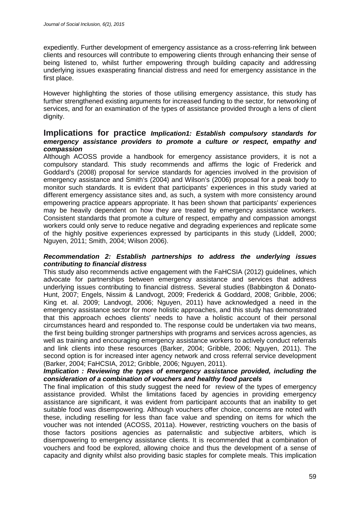expediently. Further development of emergency assistance as a cross-referring link between clients and resources will contribute to empowering clients through enhancing their sense of being listened to, whilst further empowering through building capacity and addressing underlying issues exasperating financial distress and need for emergency assistance in the first place.

However highlighting the stories of those utilising emergency assistance, this study has further strengthened existing arguments for increased funding to the sector, for networking of services, and for an examination of the types of assistance provided through a lens of client dignity.

### **Implications for practice** *Implication1: Establish compulsory standards for emergency assistance providers to promote a culture or respect, empathy and compassion*

Although ACOSS provide a handbook for emergency assistance providers, it is not a compulsory standard. This study recommends and affirms the logic of Frederick and Goddard's (2008) proposal for service standards for agencies involved in the provision of emergency assistance and Smith's (2004) and Wilson's (2006) proposal for a peak body to monitor such standards. It is evident that participants' experiences in this study varied at different emergency assistance sites and, as such, a system with more consistency around empowering practice appears appropriate. It has been shown that participants' experiences may be heavily dependent on how they are treated by emergency assistance workers. Consistent standards that promote a culture of respect, empathy and compassion amongst workers could only serve to reduce negative and degrading experiences and replicate some of the highly positive experiences expressed by participants in this study (Liddell, 2000; Nguyen, 2011; Smith, 2004; Wilson 2006).

### *Recommendation 2: Establish partnerships to address the underlying issues contributing to financial distress*

This study also recommends active engagement with the FaHCSIA (2012) guidelines, which advocate for partnerships between emergency assistance and services that address underlying issues contributing to financial distress. Several studies (Babbington & Donato-Hunt, 2007; Engels, Nissim & Landvogt, 2009; Frederick & Goddard, 2008; Gribble, 2006; King et. al. 2009; Landvogt, 2006; Nguyen, 2011) have acknowledged a need in the emergency assistance sector for more holistic approaches, and this study has demonstrated that this approach echoes clients' needs to have a holistic account of their personal circumstances heard and responded to. The response could be undertaken via two means, the first being building stronger partnerships with programs and services across agencies, as well as training and encouraging emergency assistance workers to actively conduct referrals and link clients into these resources (Barker, 2004; Gribble, 2006; Nguyen, 2011). The second option is for increased inter agency network and cross referral service development (Barker, 2004; FaHCSIA, 2012; Gribble, 2006; Nguyen, 2011).

#### *Implication : Reviewing the types of emergency assistance provided, including the consideration of a combination of vouchers and healthy food parcels*

The final implication of this study suggest the need for review of the types of emergency assistance provided. Whilst the limitations faced by agencies in providing emergency assistance are significant, it was evident from participant accounts that an inability to get suitable food was disempowering. Although vouchers offer choice, concerns are noted with these, including reselling for less than face value and spending on items for which the voucher was not intended (ACOSS, 2011a). However, restricting vouchers on the basis of those factors positions agencies as paternalistic and subjective arbiters, which is disempowering to emergency assistance clients. It is recommended that a combination of vouchers and food be explored, allowing choice and thus the development of a sense of capacity and dignity whilst also providing basic staples for complete meals. This implication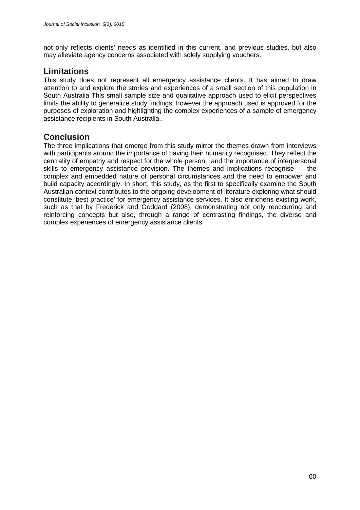not only reflects clients' needs as identified in this current, and previous studies, but also may alleviate agency concerns associated with solely supplying vouchers.

## **Limitations**

This study does not represent all emergency assistance clients. It has aimed to draw attention to and explore the stories and experiences of a small section of this population in South Australia This small sample size and qualitative approach used to elicit perspectives limits the ability to generalize study findings, however the approach used is approved for the purposes of exploration and highlighting the complex experiences of a sample of emergency assistance recipients in South Australia..

## **Conclusion**

The three implications that emerge from this study mirror the themes drawn from interviews with participants around the importance of having their humanity recognised. They reflect the centrality of empathy and respect for the whole person, and the importance of interpersonal skills to emergency assistance provision. The themes and implications recognise the complex and embedded nature of personal circumstances and the need to empower and build capacity accordingly. In short, this study, as the first to specifically examine the South Australian context contributes to the ongoing development of literature exploring what should constitute 'best practice' for emergency assistance services. It also enrichens existing work, such as that by Frederick and Goddard (2008), demonstrating not only reoccurring and reinforcing concepts but also, through a range of contrasting findings, the diverse and complex experiences of emergency assistance clients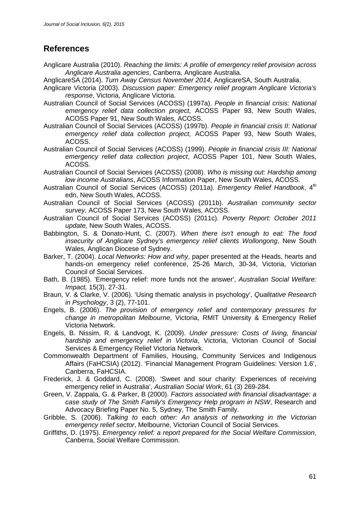## **References**

- Anglicare Australia (2010). *Reaching the limits: A profile of emergency relief provision across Anglicare Australia agencies*, Canberra, Anglicare Australia.
- AnglicareSA (2014). *Turn Away Census November 2014*, AnglicareSA, South Australia.
- Anglicare Victoria (2003). *Discussion paper: Emergency relief program Anglicare Victoria's response*, Victoria, Anglicare Victoria.
- Australian Council of Social Services (ACOSS) (1997a). *People in financial crisis: National emergency relief data collection project,* ACOSS Paper 93, New South Wales, ACOSS Paper 91, New South Wales, ACOSS.
- Australian Council of Social Services (ACOSS) (1997b). *People in financial crisis II: National emergency relief data collection project,* ACOSS Paper 93, New South Wales, ACOSS.
- Australian Council of Social Services (ACOSS) (1999). *People in financial crisis III: National emergency relief data collection project*, ACOSS Paper 101, New South Wales, ACOSS.
- Australian Council of Social Services (ACOSS) (2008). *Who is missing out: Hardship among low income Australians*, ACOSS Information Paper, New South Wales, ACOSS.
- Australian Council of Social Services (ACOSS) (2011a). *Emergency Relief Handbook*, 4th edn, New South Wales, ACOSS.
- Australian Council of Social Services (ACOSS) (2011b). *Australian community sector survey*, ACOSS Paper 173, New South Wales, ACOSS.
- Australian Council of Social Services (ACOSS) (2011c). *Poverty Report: October 2011 update,* New South Wales, ACOSS.
- Babbington, S. & Donato-Hunt, C. (2007). *When there isn't enough to eat: The food insecurity of Anglicare Sydney's emergency relief clients Wollongong*, New South Wales, Anglican Diocese of Sydney.
- Barker, T. (2004). *Local Networks: How and why*, paper presented at the Heads, hearts and hands-on emergency relief conference, 25-26 March, 30-34, Victoria, Victorian Council of Social Services.
- Bath, B. (1985). 'Emergency relief: more funds not the answer', *Australian Social Welfare: Impact,* 15(3), 27-31.
- Braun, V. & Clarke, V. (2006). 'Using thematic analysis in psychology', *Qualitative Research in Psychology*, 3 (2), 77-101.
- Engels, B. (2006). *The provision of emergency relief and contemporary pressures for change in metropolitan Melbourne*, Victoria, RMIT University & Emergency Relief Victoria Network.
- Engels, B. Nissim, R. & Landvogt, K. (2009). *Under pressure: Costs of living, financial hardship and emergency relief in Victoria*, Victoria, Victorian Council of Social Services & Emergency Relief Victoria Network.
- Commonwealth Department of Families, Housing, Community Services and Indigenous Affairs (FaHCSIA) (2012). 'Financial Management Program Guidelines: Version 1.6', Canberra, FaHCSIA.
- Frederick, J. & Goddard, C. (2008). 'Sweet and sour charity: Experiences of receiving emergency relief in Australia', *Australian Social Work*, 61 (3) 269-284.
- Green, V. Zappala, G. & Parker, B (2000). *Factors associated with financial disadvantage: a case study of The Smith Family's Emergency Help program in NSW*, Research and Advocacy Briefing Paper No. 5, Sydney, The Smith Family.
- Gribble, S. (2006). *Talking to each other: An analysis of networking in the Victorian emergency relief sector*, Melbourne, Victorian Council of Social Services.
- Griffiths, D. (1975). *Emergency relief: a report prepared for the Social Welfare Commission*, Canberra, Social Welfare Commission.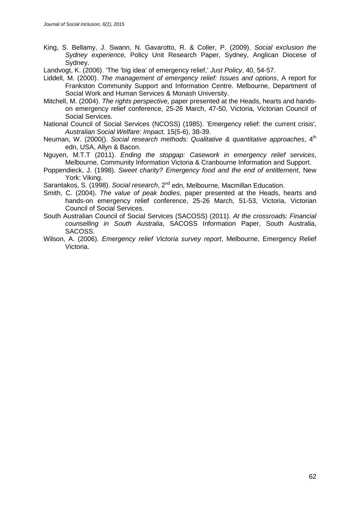- King, S. Bellamy, J. Swann, N. Gavarotto, R. & Coller, P. (2009). *Social exclusion the Sydney experience,* Policy Unit Research Paper, Sydney, Anglican Diocese of Sydney.
- Landvogt, K. (2006). 'The 'big idea' of emergency relief,' *Just Policy*, 40, 54-57.
- Liddell, M. (2000). *The management of emergency relief: Issues and options*, A report for Frankston Community Support and Information Centre. Melbourne, Department of Social Work and Human Services & Monash University.
- Mitchell, M. (2004). *The rights perspective*, paper presented at the Heads, hearts and handson emergency relief conference, 25-26 March, 47-50, Victoria, Victorian Council of Social Services.
- National Council of Social Services (NCOSS) (1985). 'Emergency relief: the current crisis', *Australian Social Welfare: Impact,* 15(5-6), 38-39.
- Neuman, W. (2000(). *Social research methods: Qualitative & quantitative approaches*, 4<sup>th</sup> edn, USA, Allyn & Bacon.
- Nguyen, M.T.T (2011). *Ending the stopgap: Casework in emergency relief services*, Melbourne, Community Information Victoria & Cranbourne Information and Support.
- Poppendieck, J. (1998). *Sweet charity? Emergency food and the end of entitlement*, New York: Viking.
- Sarantakos, S. (1998). *Social research*, 2<sup>nd</sup> edn. Melbourne, Macmillan Education.
- Smith, C. (2004). *The value of peak bodies*, paper presented at the Heads, hearts and hands-on emergency relief conference, 25-26 March, 51-53, Victoria, Victorian Council of Social Services.
- South Australian Council of Social Services (SACOSS) (2011). *At the crossroads: Financial counselling in South Australia*, SACOSS Information Paper, South Australia, SACOSS.
- Wilson, A. (2006). *Emergency relief Victoria survey report*, Melbourne, Emergency Relief Victoria.